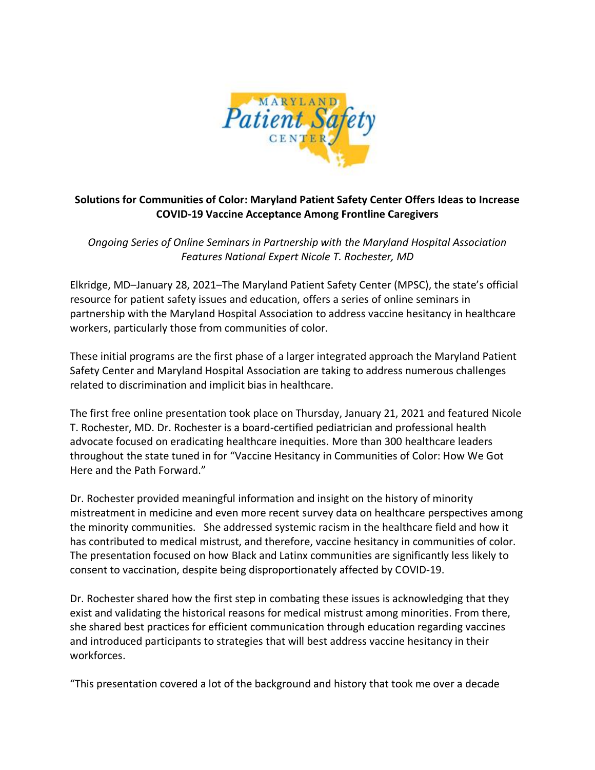

## **Solutions for Communities of Color: Maryland Patient Safety Center Offers Ideas to Increase COVID-19 Vaccine Acceptance Among Frontline Caregivers**

*Ongoing Series of Online Seminars in Partnership with the Maryland Hospital Association Features National Expert Nicole T. Rochester, MD*

Elkridge, MD–January 28, 2021–The Maryland Patient Safety Center (MPSC), the state's official resource for patient safety issues and education, offers a series of online seminars in partnership with the Maryland Hospital Association to address vaccine hesitancy in healthcare workers, particularly those from communities of color.

These initial programs are the first phase of a larger integrated approach the Maryland Patient Safety Center and Maryland Hospital Association are taking to address numerous challenges related to discrimination and implicit bias in healthcare.

The first free online presentation took place on Thursday, January 21, 2021 and featured Nicole T. Rochester, MD. Dr. Rochester is a board-certified pediatrician and professional health advocate focused on eradicating healthcare inequities. More than 300 healthcare leaders throughout the state tuned in for "Vaccine Hesitancy in Communities of Color: How We Got Here and the Path Forward."

Dr. Rochester provided meaningful information and insight on the history of minority mistreatment in medicine and even more recent survey data on healthcare perspectives among the minority communities. She addressed systemic racism in the healthcare field and how it has contributed to medical mistrust, and therefore, vaccine hesitancy in communities of color. The presentation focused on how Black and Latinx communities are significantly less likely to consent to vaccination, despite being disproportionately affected by COVID-19.

Dr. Rochester shared how the first step in combating these issues is acknowledging that they exist and validating the historical reasons for medical mistrust among minorities. From there, she shared best practices for efficient communication through education regarding vaccines and introduced participants to strategies that will best address vaccine hesitancy in their workforces.

"This presentation covered a lot of the background and history that took me over a decade